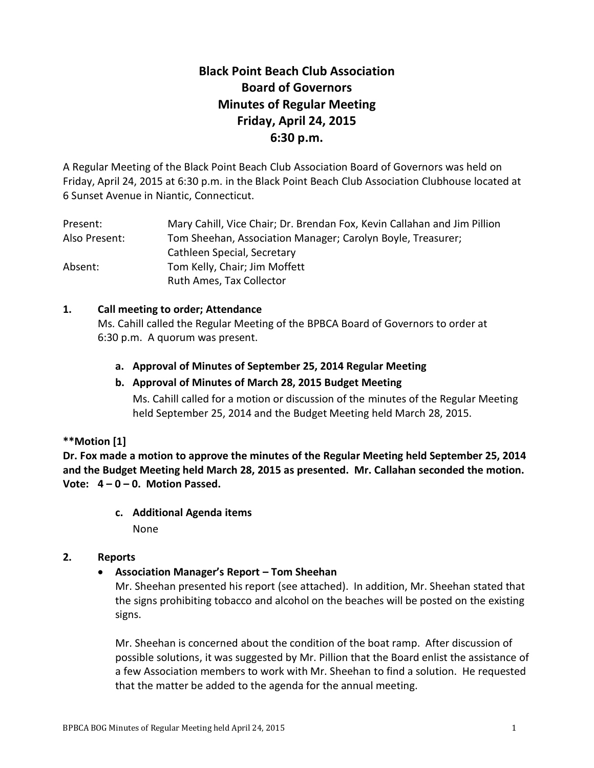# **Black Point Beach Club Association Board of Governors Minutes of Regular Meeting Friday, April 24, 2015 6:30 p.m.**

A Regular Meeting of the Black Point Beach Club Association Board of Governors was held on Friday, April 24, 2015 at 6:30 p.m. in the Black Point Beach Club Association Clubhouse located at 6 Sunset Avenue in Niantic, Connecticut.

| Present:      | Mary Cahill, Vice Chair; Dr. Brendan Fox, Kevin Callahan and Jim Pillion |  |  |
|---------------|--------------------------------------------------------------------------|--|--|
| Also Present: | Tom Sheehan, Association Manager; Carolyn Boyle, Treasurer;              |  |  |
|               | Cathleen Special, Secretary                                              |  |  |
| Absent:       | Tom Kelly, Chair; Jim Moffett                                            |  |  |
|               | Ruth Ames, Tax Collector                                                 |  |  |

## **1. Call meeting to order; Attendance**

Ms. Cahill called the Regular Meeting of the BPBCA Board of Governors to order at 6:30 p.m. A quorum was present.

**a. Approval of Minutes of September 25, 2014 Regular Meeting**

## **b. Approval of Minutes of March 28, 2015 Budget Meeting**

Ms. Cahill called for a motion or discussion of the minutes of the Regular Meeting held September 25, 2014 and the Budget Meeting held March 28, 2015.

## **\*\*Motion [1]**

**Dr. Fox made a motion to approve the minutes of the Regular Meeting held September 25, 2014 and the Budget Meeting held March 28, 2015 as presented. Mr. Callahan seconded the motion. Vote: 4 – 0 – 0. Motion Passed.**

**c. Additional Agenda items**

None

## **2. Reports**

**Association Manager's Report – Tom Sheehan**

Mr. Sheehan presented his report (see attached). In addition, Mr. Sheehan stated that the signs prohibiting tobacco and alcohol on the beaches will be posted on the existing signs.

Mr. Sheehan is concerned about the condition of the boat ramp. After discussion of possible solutions, it was suggested by Mr. Pillion that the Board enlist the assistance of a few Association members to work with Mr. Sheehan to find a solution. He requested that the matter be added to the agenda for the annual meeting.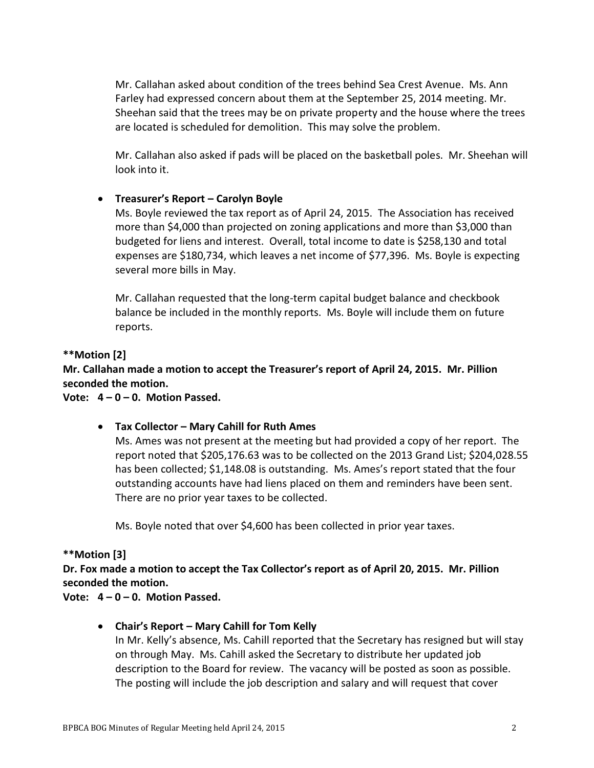Mr. Callahan asked about condition of the trees behind Sea Crest Avenue. Ms. Ann Farley had expressed concern about them at the September 25, 2014 meeting. Mr. Sheehan said that the trees may be on private property and the house where the trees are located is scheduled for demolition. This may solve the problem.

Mr. Callahan also asked if pads will be placed on the basketball poles. Mr. Sheehan will look into it.

## **Treasurer's Report – Carolyn Boyle**

Ms. Boyle reviewed the tax report as of April 24, 2015. The Association has received more than \$4,000 than projected on zoning applications and more than \$3,000 than budgeted for liens and interest. Overall, total income to date is \$258,130 and total expenses are \$180,734, which leaves a net income of \$77,396. Ms. Boyle is expecting several more bills in May.

Mr. Callahan requested that the long-term capital budget balance and checkbook balance be included in the monthly reports. Ms. Boyle will include them on future reports.

### **\*\*Motion [2]**

**Mr. Callahan made a motion to accept the Treasurer's report of April 24, 2015. Mr. Pillion seconded the motion.**

**Vote: 4 – 0 – 0. Motion Passed.**

### **Tax Collector – Mary Cahill for Ruth Ames**

Ms. Ames was not present at the meeting but had provided a copy of her report. The report noted that \$205,176.63 was to be collected on the 2013 Grand List; \$204,028.55 has been collected; \$1,148.08 is outstanding. Ms. Ames's report stated that the four outstanding accounts have had liens placed on them and reminders have been sent. There are no prior year taxes to be collected.

Ms. Boyle noted that over \$4,600 has been collected in prior year taxes.

### **\*\*Motion [3]**

**Dr. Fox made a motion to accept the Tax Collector's report as of April 20, 2015. Mr. Pillion seconded the motion.**

**Vote: 4 – 0 – 0. Motion Passed.**

### **Chair's Report – Mary Cahill for Tom Kelly**

In Mr. Kelly's absence, Ms. Cahill reported that the Secretary has resigned but will stay on through May. Ms. Cahill asked the Secretary to distribute her updated job description to the Board for review. The vacancy will be posted as soon as possible. The posting will include the job description and salary and will request that cover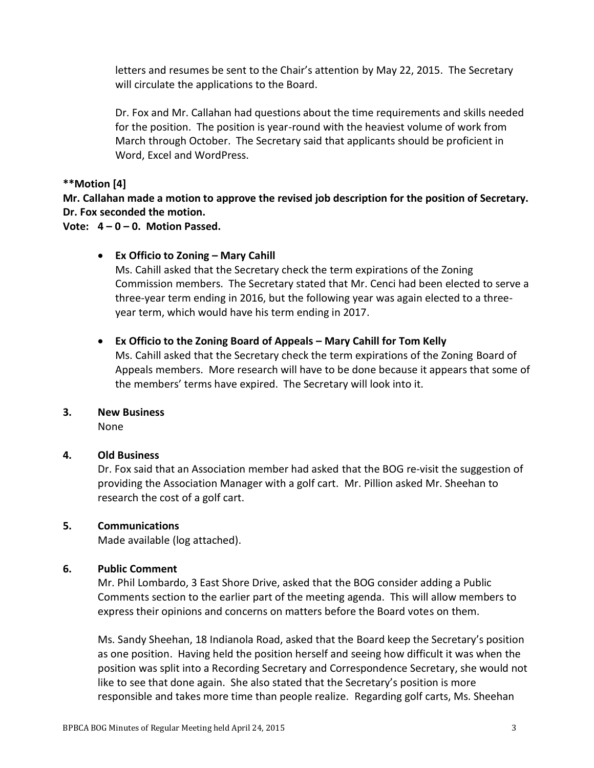letters and resumes be sent to the Chair's attention by May 22, 2015. The Secretary will circulate the applications to the Board.

Dr. Fox and Mr. Callahan had questions about the time requirements and skills needed for the position. The position is year-round with the heaviest volume of work from March through October. The Secretary said that applicants should be proficient in Word, Excel and WordPress.

**\*\*Motion [4]**

**Mr. Callahan made a motion to approve the revised job description for the position of Secretary. Dr. Fox seconded the motion.**

**Vote: 4 – 0 – 0. Motion Passed.**

## **Ex Officio to Zoning – Mary Cahill**

Ms. Cahill asked that the Secretary check the term expirations of the Zoning Commission members. The Secretary stated that Mr. Cenci had been elected to serve a three-year term ending in 2016, but the following year was again elected to a threeyear term, which would have his term ending in 2017.

## **Ex Officio to the Zoning Board of Appeals – Mary Cahill for Tom Kelly**

Ms. Cahill asked that the Secretary check the term expirations of the Zoning Board of Appeals members. More research will have to be done because it appears that some of the members' terms have expired. The Secretary will look into it.

### **3. New Business**

None

## **4. Old Business**

Dr. Fox said that an Association member had asked that the BOG re-visit the suggestion of providing the Association Manager with a golf cart. Mr. Pillion asked Mr. Sheehan to research the cost of a golf cart.

## **5. Communications**

Made available (log attached).

## **6. Public Comment**

Mr. Phil Lombardo, 3 East Shore Drive, asked that the BOG consider adding a Public Comments section to the earlier part of the meeting agenda. This will allow members to express their opinions and concerns on matters before the Board votes on them.

Ms. Sandy Sheehan, 18 Indianola Road, asked that the Board keep the Secretary's position as one position. Having held the position herself and seeing how difficult it was when the position was split into a Recording Secretary and Correspondence Secretary, she would not like to see that done again. She also stated that the Secretary's position is more responsible and takes more time than people realize. Regarding golf carts, Ms. Sheehan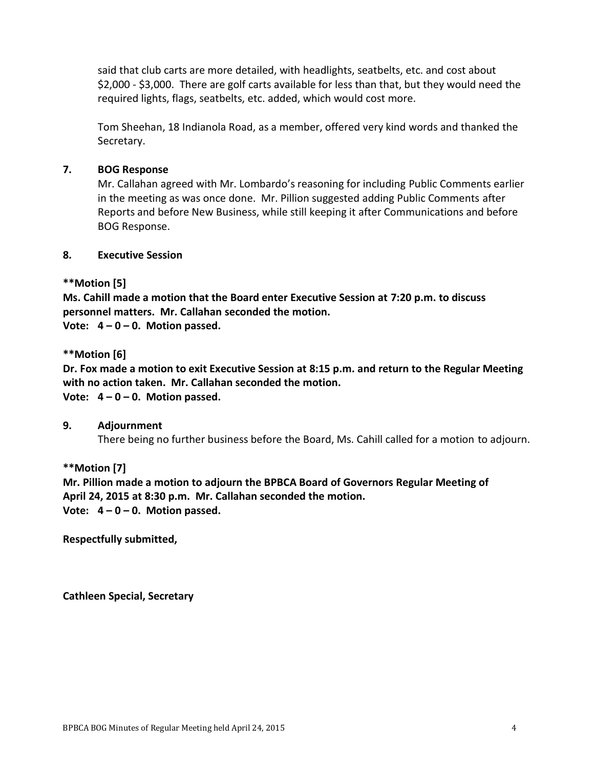said that club carts are more detailed, with headlights, seatbelts, etc. and cost about \$2,000 - \$3,000. There are golf carts available for less than that, but they would need the required lights, flags, seatbelts, etc. added, which would cost more.

Tom Sheehan, 18 Indianola Road, as a member, offered very kind words and thanked the Secretary.

## **7. BOG Response**

Mr. Callahan agreed with Mr. Lombardo's reasoning for including Public Comments earlier in the meeting as was once done. Mr. Pillion suggested adding Public Comments after Reports and before New Business, while still keeping it after Communications and before BOG Response.

### **8. Executive Session**

## **\*\*Motion [5]**

**Ms. Cahill made a motion that the Board enter Executive Session at 7:20 p.m. to discuss personnel matters. Mr. Callahan seconded the motion.**

**Vote: 4 – 0 – 0. Motion passed.**

### **\*\*Motion [6]**

**Dr. Fox made a motion to exit Executive Session at 8:15 p.m. and return to the Regular Meeting with no action taken. Mr. Callahan seconded the motion.** 

**Vote: 4 – 0 – 0. Motion passed.**

### **9. Adjournment**

There being no further business before the Board, Ms. Cahill called for a motion to adjourn.

### **\*\*Motion [7]**

**Mr. Pillion made a motion to adjourn the BPBCA Board of Governors Regular Meeting of April 24, 2015 at 8:30 p.m. Mr. Callahan seconded the motion. Vote: 4 – 0 – 0. Motion passed.**

**Respectfully submitted,**

**Cathleen Special, Secretary**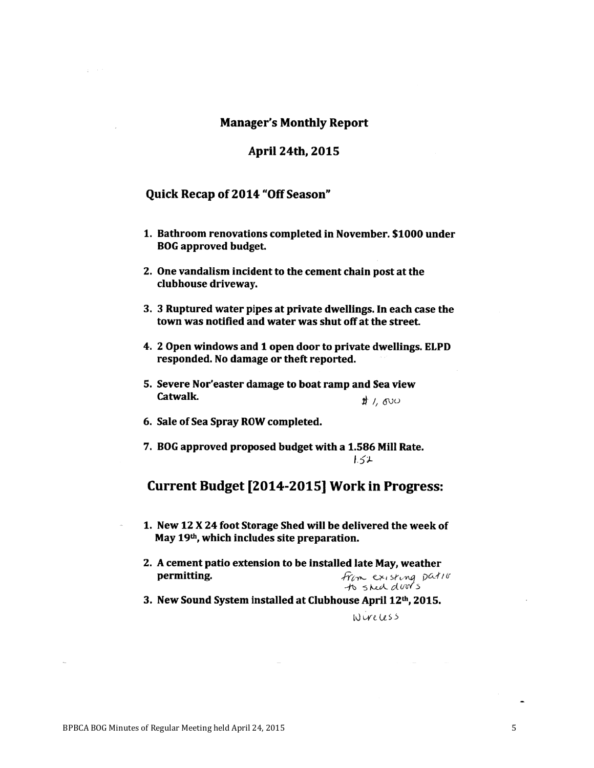#### **Manager's Monthly Report**

#### April 24th, 2015

#### Quick Recap of 2014 "Off Season"

- 1. Bathroom renovations completed in November. \$1000 under **BOG** approved budget.
- 2. One vandalism incident to the cement chain post at the clubhouse driveway.
- 3. 3 Ruptured water pipes at private dwellings. In each case the town was notified and water was shut off at the street.
- 4. 2 Open windows and 1 open door to private dwellings. ELPD responded. No damage or theft reported.
- 5. Severe Nor'easter damage to boat ramp and Sea view Catwalk.  $#$ , ovo
- 6. Sale of Sea Spray ROW completed.
- 7. BOG approved proposed budget with a 1.586 Mill Rate.  $1.51$

## Current Budget [2014-2015] Work in Progress:

- 1. New 12 X 24 foot Storage Shed will be delivered the week of May 19th, which includes site preparation.
- 2. A cement patio extension to be installed late May, weather permitting. From existing patio to shed door's
- 3. New Sound System installed at Clubhouse April 12th, 2015.

#### Wureless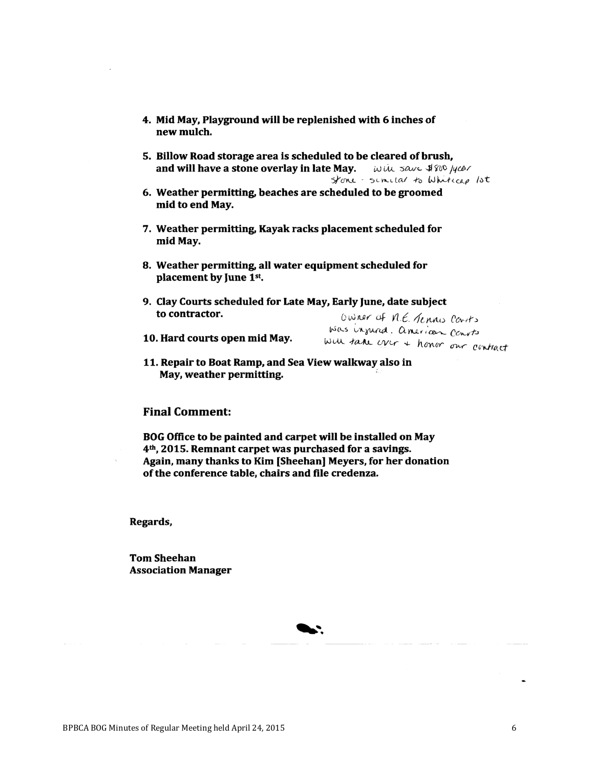- 4. Mid May, Playground will be replenished with 6 inches of new mulch.
- 5. Billow Road storage area is scheduled to be cleared of brush, and will have a stone overlay in late May. Will save \$800 lyear stone - similar to Whitecap lot
- 6. Weather permitting, beaches are scheduled to be groomed mid to end May.
- 7. Weather permitting, Kayak racks placement scheduled for mid May.
- 8. Weather permitting, all water equipment scheduled for placement by June 1st.
- 9. Clay Courts scheduled for Late May, Early June, date subject to contractor. Owner of N.E. Tennis Courts
- 10. Hard courts open mid May.

was injured. american convits will take over + honor our contract

11. Repair to Boat Ramp, and Sea View walkway also in May, weather permitting.

### **Final Comment:**

BOG Office to be painted and carpet will be installed on May 4<sup>th</sup>, 2015. Remnant carpet was purchased for a savings. Again, many thanks to Kim [Sheehan] Meyers, for her donation of the conference table, chairs and file credenza.

Regards,

**Tom Sheehan Association Manager**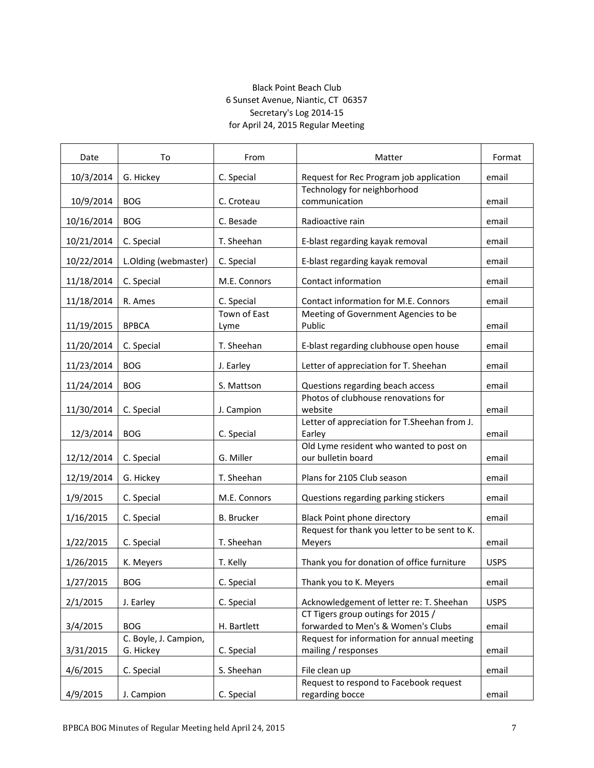#### Black Point Beach Club 6 Sunset Avenue, Niantic, CT 06357 Secretary's Log 2014-15 for April 24, 2015 Regular Meeting

| Date       | To                                 | From                 | Matter                                                                   | Format      |
|------------|------------------------------------|----------------------|--------------------------------------------------------------------------|-------------|
| 10/3/2014  | G. Hickey                          | C. Special           | Request for Rec Program job application                                  | email       |
| 10/9/2014  | <b>BOG</b>                         |                      | Technology for neighborhood<br>communication                             |             |
|            |                                    | C. Croteau           |                                                                          | email       |
| 10/16/2014 | <b>BOG</b>                         | C. Besade            | Radioactive rain                                                         | email       |
| 10/21/2014 | C. Special                         | T. Sheehan           | E-blast regarding kayak removal                                          | email       |
| 10/22/2014 | L.Olding (webmaster)               | C. Special           | E-blast regarding kayak removal                                          | email       |
| 11/18/2014 | C. Special                         | M.E. Connors         | Contact information                                                      | email       |
| 11/18/2014 | R. Ames                            | C. Special           | Contact information for M.E. Connors                                     | email       |
| 11/19/2015 | <b>BPBCA</b>                       | Town of East<br>Lyme | Meeting of Government Agencies to be<br>Public                           | email       |
| 11/20/2014 | C. Special                         | T. Sheehan           | E-blast regarding clubhouse open house                                   | email       |
| 11/23/2014 | <b>BOG</b>                         | J. Earley            | Letter of appreciation for T. Sheehan                                    | email       |
| 11/24/2014 | <b>BOG</b>                         | S. Mattson           | Questions regarding beach access                                         | email       |
| 11/30/2014 | C. Special                         | J. Campion           | Photos of clubhouse renovations for<br>website                           | email       |
| 12/3/2014  | <b>BOG</b>                         | C. Special           | Letter of appreciation for T.Sheehan from J.<br>Earley                   | email       |
| 12/12/2014 | C. Special                         | G. Miller            | Old Lyme resident who wanted to post on<br>our bulletin board            | email       |
| 12/19/2014 | G. Hickey                          | T. Sheehan           | Plans for 2105 Club season                                               | email       |
| 1/9/2015   | C. Special                         | M.E. Connors         | Questions regarding parking stickers                                     | email       |
| 1/16/2015  | C. Special                         | <b>B.</b> Brucker    | Black Point phone directory                                              | email       |
| 1/22/2015  | C. Special                         | T. Sheehan           | Request for thank you letter to be sent to K.<br>Meyers                  | email       |
| 1/26/2015  | K. Meyers                          | T. Kelly             | Thank you for donation of office furniture                               | <b>USPS</b> |
|            |                                    |                      |                                                                          |             |
| 1/27/2015  | <b>BOG</b>                         | C. Special           | Thank you to K. Meyers                                                   | email       |
| 2/1/2015   | J. Earley                          | C. Special           | Acknowledgement of letter re: T. Sheehan                                 | <b>USPS</b> |
| 3/4/2015   | <b>BOG</b>                         | H. Bartlett          | CT Tigers group outings for 2015 /<br>forwarded to Men's & Women's Clubs | email       |
| 3/31/2015  | C. Boyle, J. Campion,<br>G. Hickey | C. Special           | Request for information for annual meeting<br>mailing / responses        | email       |
|            |                                    |                      |                                                                          |             |
| 4/6/2015   | C. Special                         | S. Sheehan           | File clean up                                                            | email       |
| 4/9/2015   | J. Campion                         | C. Special           | Request to respond to Facebook request<br>regarding bocce                | email       |